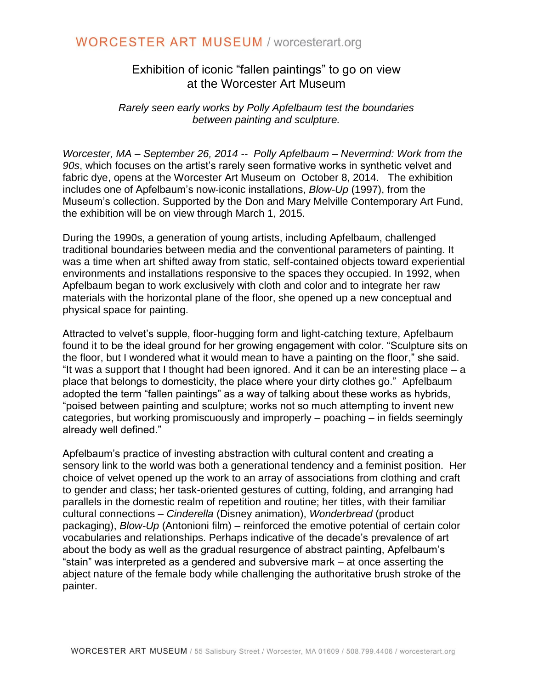## **WORCESTER ART MUSEUM / worcesterart.org**

### Exhibition of iconic "fallen paintings" to go on view at the Worcester Art Museum

*Rarely seen early works by Polly Apfelbaum test the boundaries between painting and sculpture.* 

*Worcester, MA – September 26, 2014 -- Polly Apfelbaum – Nevermind: Work from the 90s*, which focuses on the artist's rarely seen formative works in synthetic velvet and fabric dye, opens at the Worcester Art Museum on October 8, 2014. The exhibition includes one of Apfelbaum's now-iconic installations, *Blow-Up* (1997), from the Museum's collection. Supported by the Don and Mary Melville Contemporary Art Fund, the exhibition will be on view through March 1, 2015.

During the 1990s, a generation of young artists, including Apfelbaum, challenged traditional boundaries between media and the conventional parameters of painting. It was a time when art shifted away from static, self-contained objects toward experiential environments and installations responsive to the spaces they occupied. In 1992, when Apfelbaum began to work exclusively with cloth and color and to integrate her raw materials with the horizontal plane of the floor, she opened up a new conceptual and physical space for painting.

Attracted to velvet's supple, floor-hugging form and light-catching texture, Apfelbaum found it to be the ideal ground for her growing engagement with color. "Sculpture sits on the floor, but I wondered what it would mean to have a painting on the floor," she said. "It was a support that I thought had been ignored. And it can be an interesting place – a place that belongs to domesticity, the place where your dirty clothes go." Apfelbaum adopted the term "fallen paintings" as a way of talking about these works as hybrids, "poised between painting and sculpture; works not so much attempting to invent new categories, but working promiscuously and improperly – poaching – in fields seemingly already well defined."

Apfelbaum's practice of investing abstraction with cultural content and creating a sensory link to the world was both a generational tendency and a feminist position. Her choice of velvet opened up the work to an array of associations from clothing and craft to gender and class; her task-oriented gestures of cutting, folding, and arranging had parallels in the domestic realm of repetition and routine; her titles, with their familiar cultural connections – *Cinderella* (Disney animation), *Wonderbread* (product packaging), *Blow-Up* (Antonioni film) – reinforced the emotive potential of certain color vocabularies and relationships. Perhaps indicative of the decade's prevalence of art about the body as well as the gradual resurgence of abstract painting, Apfelbaum's "stain" was interpreted as a gendered and subversive mark – at once asserting the abject nature of the female body while challenging the authoritative brush stroke of the painter.